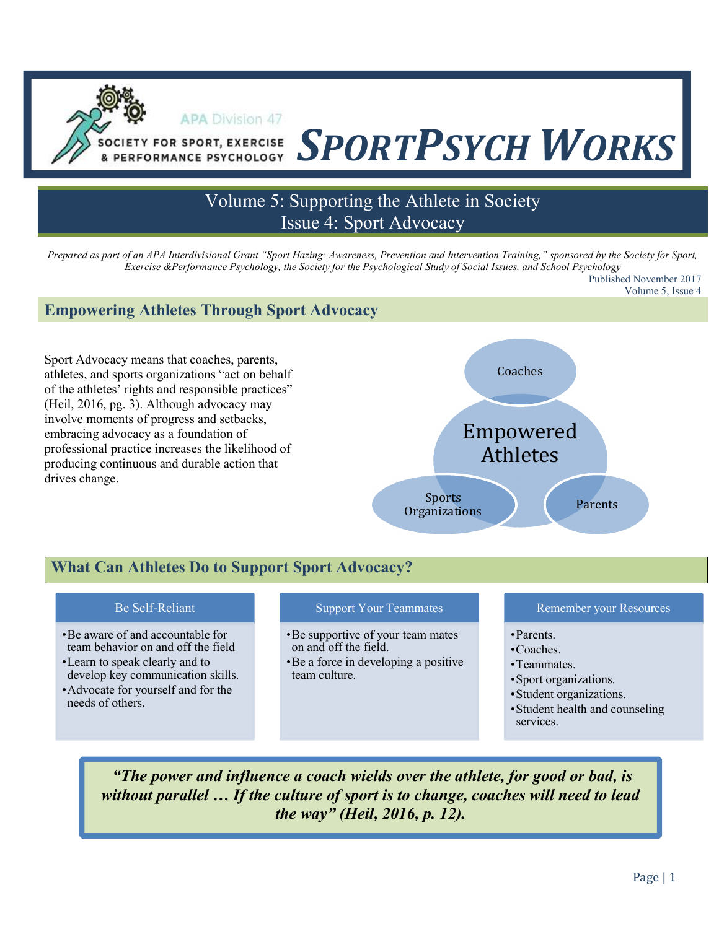# SOCIETY FOR SPORT, EXERCISE SPORTPSYCH WORKS

# Volume 5: Supporting the Athlete in Society Issue 4: Sport Advocacy

Prepared as part of an APA Interdivisional Grant "Sport Hazing: Awareness, Prevention and Intervention Training," sponsored by the Society for Sport, Exercise &Performance Psychology, the Society for the Psychological Study of Social Issues, and School Psychology Published November 2017 Volume 5, Issue 4

#### Empowering Athletes Through Sport Advocacy

**APA Division 47** 

Sport Advocacy means that coaches, parents, athletes, and sports organizations "act on behalf of the athletes' rights and responsible practices" (Heil, 2016, pg. 3). Although advocacy may involve moments of progress and setbacks, embracing advocacy as a foundation of professional practice increases the likelihood of producing continuous and durable action that drives change.

ł



# What Can Athletes Do to Support Sport Advocacy?

#### Be Self-Reliant

- •Be aware of and accountable for team behavior on and off the field
- •Learn to speak clearly and to develop key communication skills.
- •Advocate for yourself and for the needs of others.

#### Support Your Teammates

- •Be supportive of your team mates on and off the field.
- •Be a force in developing a positive team culture.

#### Remember your Resources

- •Parents.
- •Coaches.
- •Teammates.
- •Sport organizations.
- •Student organizations.
- •Student health and counseling services.

 "The power and influence a coach wields over the athlete, for good or bad, is without parallel ... If the culture of sport is to change, coaches will need to lead the way" (Heil, 2016, p. 12).